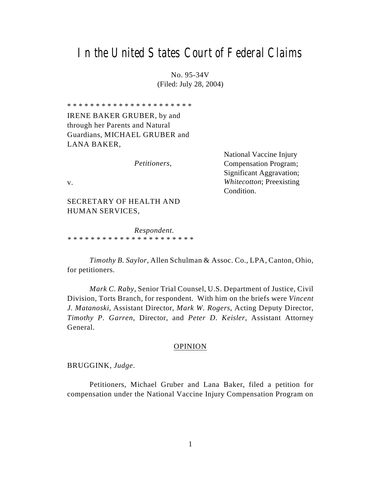# In the United States Court of Federal Claims

No. 95-34V (Filed: July 28, 2004)

\* \* \* \* \* \* \* \* \* \* \* \* \* \* \* \* \* \* \* \* \* \*

IRENE BAKER GRUBER, by and through her Parents and Natural Guardians, MICHAEL GRUBER and LANA BAKER,

*Petitioners*,

National Vaccine Injury Compensation Program; Significant Aggravation; *Whitecotton*; Preexisting Condition.

v.

SECRETARY OF HEALTH AND HUMAN SERVICES,

*Respondent*. *\* \* \* \* \* \* \* \* \* \* \* \* \* \* \* \* \* \* \* \* \* \**

*Timothy B. Saylor*, Allen Schulman & Assoc. Co., LPA, Canton, Ohio, for petitioners.

*Mark C. Raby*, Senior Trial Counsel, U.S. Department of Justice, Civil Division, Torts Branch, for respondent. With him on the briefs were *Vincent J. Matanoski*, Assistant Director, *Mark W. Rogers*, Acting Deputy Director, *Timothy P. Garren*, Director, and *Peter D. Keisler*, Assistant Attorney General.

### OPINION

BRUGGINK, *Judge*.

Petitioners, Michael Gruber and Lana Baker, filed a petition for compensation under the National Vaccine Injury Compensation Program on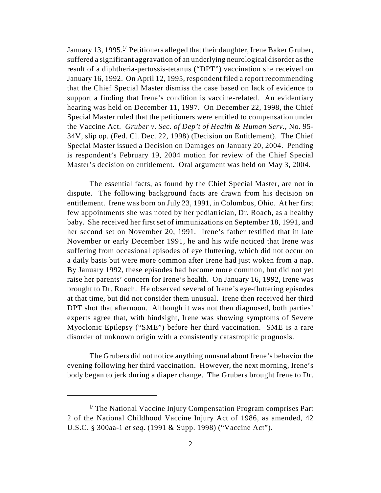January 13, 1995.<sup>1/</sup> Petitioners alleged that their daughter, Irene Baker Gruber, suffered a significant aggravation of an underlying neurological disorder as the result of a diphtheria-pertussis-tetanus ("DPT") vaccination she received on January 16, 1992. On April 12, 1995, respondent filed a report recommending that the Chief Special Master dismiss the case based on lack of evidence to support a finding that Irene's condition is vaccine-related. An evidentiary hearing was held on December 11, 1997. On December 22, 1998, the Chief Special Master ruled that the petitioners were entitled to compensation under the Vaccine Act. *Gruber v. Sec. of Dep't of Health & Human Serv.*, No. 95- 34V, slip op. (Fed. Cl. Dec. 22, 1998) (Decision on Entitlement). The Chief Special Master issued a Decision on Damages on January 20, 2004. Pending is respondent's February 19, 2004 motion for review of the Chief Special Master's decision on entitlement. Oral argument was held on May 3, 2004.

The essential facts, as found by the Chief Special Master, are not in dispute. The following background facts are drawn from his decision on entitlement. Irene was born on July 23, 1991, in Columbus, Ohio. At her first few appointments she was noted by her pediatrician, Dr. Roach, as a healthy baby. She received her first set of immunizations on September 18, 1991, and her second set on November 20, 1991. Irene's father testified that in late November or early December 1991, he and his wife noticed that Irene was suffering from occasional episodes of eye fluttering, which did not occur on a daily basis but were more common after Irene had just woken from a nap. By January 1992, these episodes had become more common, but did not yet raise her parents' concern for Irene's health. On January 16, 1992, Irene was brought to Dr. Roach. He observed several of Irene's eye-fluttering episodes at that time, but did not consider them unusual. Irene then received her third DPT shot that afternoon. Although it was not then diagnosed, both parties' experts agree that, with hindsight, Irene was showing symptoms of Severe Myoclonic Epilepsy ("SME") before her third vaccination. SME is a rare disorder of unknown origin with a consistently catastrophic prognosis.

The Grubers did not notice anything unusual about Irene's behavior the evening following her third vaccination. However, the next morning, Irene's body began to jerk during a diaper change. The Grubers brought Irene to Dr.

 $\frac{1}{2}$  The National Vaccine Injury Compensation Program comprises Part 2 of the National Childhood Vaccine Injury Act of 1986, as amended, 42 U.S.C. § 300aa-1 *et seq*. (1991 & Supp. 1998) ("Vaccine Act").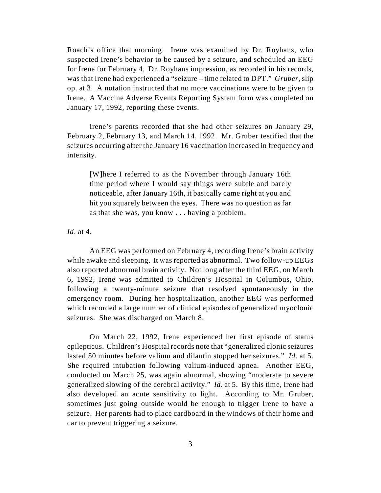Roach's office that morning. Irene was examined by Dr. Royhans, who suspected Irene's behavior to be caused by a seizure, and scheduled an EEG for Irene for February 4. Dr. Royhans impression, as recorded in his records, was that Irene had experienced a "seizure – time related to DPT." *Gruber*, slip op. at 3. A notation instructed that no more vaccinations were to be given to Irene. A Vaccine Adverse Events Reporting System form was completed on January 17, 1992, reporting these events.

Irene's parents recorded that she had other seizures on January 29, February 2, February 13, and March 14, 1992. Mr. Gruber testified that the seizures occurring after the January 16 vaccination increased in frequency and intensity.

[W]here I referred to as the November through January 16th time period where I would say things were subtle and barely noticeable, after January 16th, it basically came right at you and hit you squarely between the eyes. There was no question as far as that she was, you know . . . having a problem.

*Id*. at 4.

An EEG was performed on February 4, recording Irene's brain activity while awake and sleeping. It was reported as abnormal. Two follow-up EEGs also reported abnormal brain activity. Not long after the third EEG, on March 6, 1992, Irene was admitted to Children's Hospital in Columbus, Ohio, following a twenty-minute seizure that resolved spontaneously in the emergency room. During her hospitalization, another EEG was performed which recorded a large number of clinical episodes of generalized myoclonic seizures. She was discharged on March 8.

On March 22, 1992, Irene experienced her first episode of status epilepticus. Children's Hospital records note that "generalized clonic seizures lasted 50 minutes before valium and dilantin stopped her seizures." *Id*. at 5. She required intubation following valium-induced apnea. Another EEG, conducted on March 25, was again abnormal, showing "moderate to severe generalized slowing of the cerebral activity." *Id*. at 5. By this time, Irene had also developed an acute sensitivity to light. According to Mr. Gruber, sometimes just going outside would be enough to trigger Irene to have a seizure. Her parents had to place cardboard in the windows of their home and car to prevent triggering a seizure.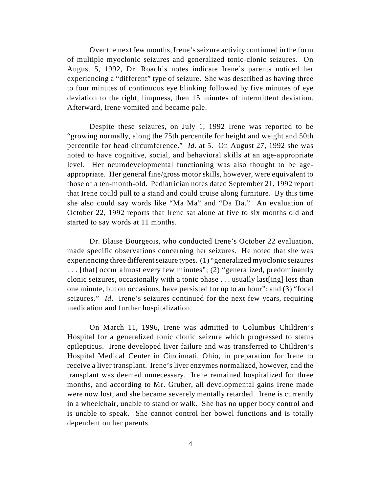Over the next few months, Irene's seizure activity continued in the form of multiple myoclonic seizures and generalized tonic-clonic seizures. On August 5, 1992, Dr. Roach's notes indicate Irene's parents noticed her experiencing a "different" type of seizure. She was described as having three to four minutes of continuous eye blinking followed by five minutes of eye deviation to the right, limpness, then 15 minutes of intermittent deviation. Afterward, Irene vomited and became pale.

Despite these seizures, on July 1, 1992 Irene was reported to be "growing normally, along the 75th percentile for height and weight and 50th percentile for head circumference." *Id*. at 5. On August 27, 1992 she was noted to have cognitive, social, and behavioral skills at an age-appropriate level. Her neurodevelopmental functioning was also thought to be ageappropriate. Her general fine/gross motor skills, however, were equivalent to those of a ten-month-old. Pediatrician notes dated September 21, 1992 report that Irene could pull to a stand and could cruise along furniture. By this time she also could say words like "Ma Ma" and "Da Da." An evaluation of October 22, 1992 reports that Irene sat alone at five to six months old and started to say words at 11 months.

Dr. Blaise Bourgeois, who conducted Irene's October 22 evaluation, made specific observations concerning her seizures. He noted that she was experiencing three different seizure types. (1) "generalized myoclonic seizures . . . [that] occur almost every few minutes"; (2) "generalized, predominantly clonic seizures, occasionally with a tonic phase . . . usually last[ing] less than one minute, but on occasions, have persisted for up to an hour"; and (3) "focal seizures." *Id*. Irene's seizures continued for the next few years, requiring medication and further hospitalization.

On March 11, 1996, Irene was admitted to Columbus Children's Hospital for a generalized tonic clonic seizure which progressed to status epilepticus. Irene developed liver failure and was transferred to Children's Hospital Medical Center in Cincinnati, Ohio, in preparation for Irene to receive a liver transplant. Irene's liver enzymes normalized, however, and the transplant was deemed unnecessary. Irene remained hospitalized for three months, and according to Mr. Gruber, all developmental gains Irene made were now lost, and she became severely mentally retarded. Irene is currently in a wheelchair, unable to stand or walk. She has no upper body control and is unable to speak. She cannot control her bowel functions and is totally dependent on her parents.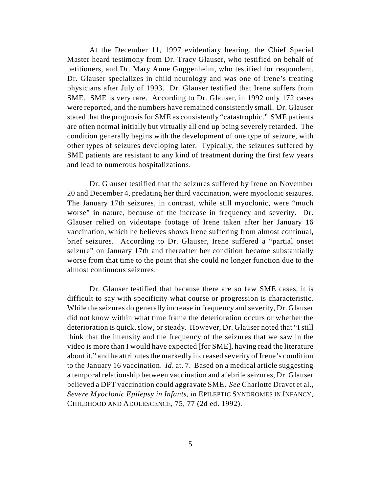At the December 11, 1997 evidentiary hearing, the Chief Special Master heard testimony from Dr. Tracy Glauser, who testified on behalf of petitioners, and Dr. Mary Anne Guggenheim, who testified for respondent. Dr. Glauser specializes in child neurology and was one of Irene's treating physicians after July of 1993. Dr. Glauser testified that Irene suffers from SME. SME is very rare. According to Dr. Glauser, in 1992 only 172 cases were reported, and the numbers have remained consistently small. Dr. Glauser stated that the prognosis for SME as consistently "catastrophic." SME patients are often normal initially but virtually all end up being severely retarded. The condition generally begins with the development of one type of seizure, with other types of seizures developing later. Typically, the seizures suffered by SME patients are resistant to any kind of treatment during the first few years and lead to numerous hospitalizations.

Dr. Glauser testified that the seizures suffered by Irene on November 20 and December 4, predating her third vaccination, were myoclonic seizures. The January 17th seizures, in contrast, while still myoclonic, were "much worse" in nature, because of the increase in frequency and severity. Dr. Glauser relied on videotape footage of Irene taken after her January 16 vaccination, which he believes shows Irene suffering from almost continual, brief seizures. According to Dr. Glauser, Irene suffered a "partial onset seizure" on January 17th and thereafter her condition became substantially worse from that time to the point that she could no longer function due to the almost continuous seizures.

Dr. Glauser testified that because there are so few SME cases, it is difficult to say with specificity what course or progression is characteristic. While the seizures do generally increase in frequency and severity, Dr. Glauser did not know within what time frame the deterioration occurs or whether the deterioration is quick, slow, or steady. However, Dr. Glauser noted that "I still think that the intensity and the frequency of the seizures that we saw in the video is more than I would have expected [for SME], having read the literature about it," and he attributes the markedly increased severity of Irene's condition to the January 16 vaccination. *Id*. at. 7. Based on a medical article suggesting a temporal relationship between vaccination and afebrile seizures, Dr. Glauser believed a DPT vaccination could aggravate SME. *See* Charlotte Dravet et al., *Severe Myoclonic Epilepsy in Infants*, *in* EPILEPTIC SYNDROMES IN INFANCY, CHILDHOOD AND ADOLESCENCE, 75, 77 (2d ed. 1992).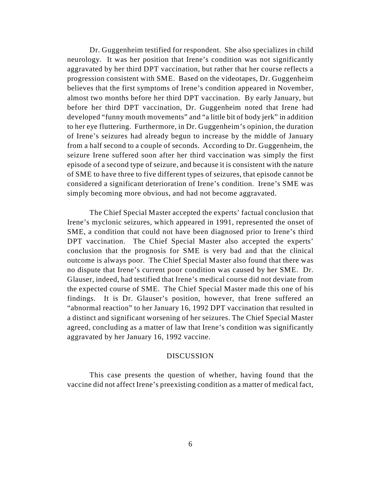Dr. Guggenheim testified for respondent. She also specializes in child neurology. It was her position that Irene's condition was not significantly aggravated by her third DPT vaccination, but rather that her course reflects a progression consistent with SME. Based on the videotapes, Dr. Guggenheim believes that the first symptoms of Irene's condition appeared in November, almost two months before her third DPT vaccination. By early January, but before her third DPT vaccination, Dr. Guggenheim noted that Irene had developed "funny mouth movements" and "a little bit of body jerk" in addition to her eye fluttering. Furthermore, in Dr. Guggenheim's opinion, the duration of Irene's seizures had already begun to increase by the middle of January from a half second to a couple of seconds. According to Dr. Guggenheim, the seizure Irene suffered soon after her third vaccination was simply the first episode of a second type of seizure, and because it is consistent with the nature of SME to have three to five different types of seizures, that episode cannot be considered a significant deterioration of Irene's condition. Irene's SME was simply becoming more obvious, and had not become aggravated.

The Chief Special Master accepted the experts' factual conclusion that Irene's myclonic seizures, which appeared in 1991, represented the onset of SME, a condition that could not have been diagnosed prior to Irene's third DPT vaccination. The Chief Special Master also accepted the experts' conclusion that the prognosis for SME is very bad and that the clinical outcome is always poor. The Chief Special Master also found that there was no dispute that Irene's current poor condition was caused by her SME. Dr. Glauser, indeed, had testified that Irene's medical course did not deviate from the expected course of SME. The Chief Special Master made this one of his findings. It is Dr. Glauser's position, however, that Irene suffered an "abnormal reaction" to her January 16, 1992 DPT vaccination that resulted in a distinct and significant worsening of her seizures. The Chief Special Master agreed, concluding as a matter of law that Irene's condition was significantly aggravated by her January 16, 1992 vaccine.

#### DISCUSSION

This case presents the question of whether, having found that the vaccine did not affect Irene's preexisting condition as a matter of medical fact,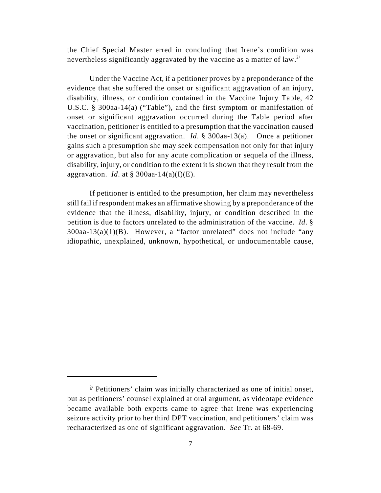the Chief Special Master erred in concluding that Irene's condition was nevertheless significantly aggravated by the vaccine as a matter of law.<sup>2/</sup>

Under the Vaccine Act, if a petitioner proves by a preponderance of the evidence that she suffered the onset or significant aggravation of an injury, disability, illness, or condition contained in the Vaccine Injury Table, 42 U.S.C. § 300aa-14(a) ("Table"), and the first symptom or manifestation of onset or significant aggravation occurred during the Table period after vaccination, petitioner is entitled to a presumption that the vaccination caused the onset or significant aggravation. *Id*. § 300aa-13(a). Once a petitioner gains such a presumption she may seek compensation not only for that injury or aggravation, but also for any acute complication or sequela of the illness, disability, injury, or condition to the extent it is shown that they result from the aggravation. *Id*. at § 300aa-14(a)(I)(E).

If petitioner is entitled to the presumption, her claim may nevertheless still fail if respondent makes an affirmative showing by a preponderance of the evidence that the illness, disability, injury, or condition described in the petition is due to factors unrelated to the administration of the vaccine. *Id*. §  $300$ aa-13(a)(1)(B). However, a "factor unrelated" does not include "any idiopathic, unexplained, unknown, hypothetical, or undocumentable cause,

 $2^{2}$  Petitioners' claim was initially characterized as one of initial onset, but as petitioners' counsel explained at oral argument, as videotape evidence became available both experts came to agree that Irene was experiencing seizure activity prior to her third DPT vaccination, and petitioners' claim was recharacterized as one of significant aggravation. *See* Tr. at 68-69.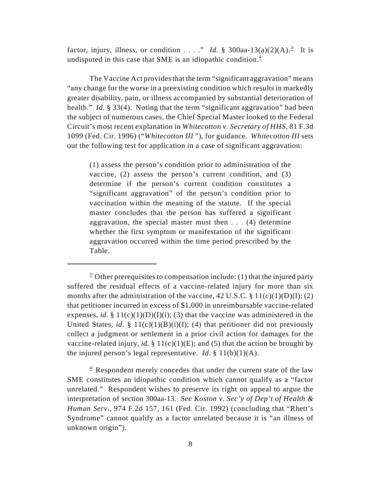factor, injury, illness, or condition . . . ." *Id.* § 300aa-13(a)(2)(A).<sup>3/</sup> It is undisputed in this case that SME is an idiopathic condition. $4/$ 

The Vaccine Act provides that the term "significant aggravation" means "any change for the worse in a preexisting condition which results in markedly greater disability, pain, or illness accompanied by substantial deterioration of health." *Id*. § 33(4). Noting that the term "significant aggravation" had been the subject of numerous cases, the Chief Special Master looked to the Federal Circuit's most recent explanation in *Whitecotton v. Secretary of HHS*, 81 F.3d 1099 (Fed. Cir. 1996) ("*Whitecotton III* "), for guidance. *Whitecotton III* sets out the following test for application in a case of significant aggravation:

(1) assess the person's condition prior to administration of the vaccine, (2) assess the person's current condition, and (3) determine if the person's current condition constitutes a "significant aggravation" of the person's condition prior to vaccination within the meaning of the statute. If the special master concludes that the person has suffered a significant aggravation, the special master must then . . . (4) determine whether the first symptom or manifestation of the significant aggravation occurred within the time period prescribed by the Table.

 $\frac{3}{2}$  Other prerequisites to compensation include: (1) that the injured party suffered the residual effects of a vaccine-related injury for more than six months after the administration of the vaccine, 42 U.S.C.  $\S 11(c)(1)(D)(I); (2)$ that petitioner incurred in excess of \$1,000 in unreimbursable vaccine-related expenses, *id*. §  $11(c)(1)(D)(I)(i)$ ; (3) that the vaccine was administered in the United States, *id*. §  $11(c)(1)(B)(i)(I)$ ; (4) that petitioner did not previously collect a judgment or settlement in a prior civil action for damages for the vaccine-related injury, *id*. §  $11(c)(1)(E)$ ; and (5) that the action be brought by the injured person's legal representative. *Id*.  $\S 11(b)(1)(A)$ .

 $4$ <sup>'</sup> Respondent merely concedes that under the current state of the law SME constitutes an idiopathic condition which cannot qualify as a "factor unrelated." Respondent wishes to preserve its right on appeal to argue the interpretation of section 300aa-13. *See Koston v. Sec'y of Dep't of Health & Human Serv*., 974 F.2d 157, 161 (Fed. Cir. 1992) (concluding that "Rhett's Syndrome" cannot qualify as a factor unrelated because it is "an illness of unknown origin").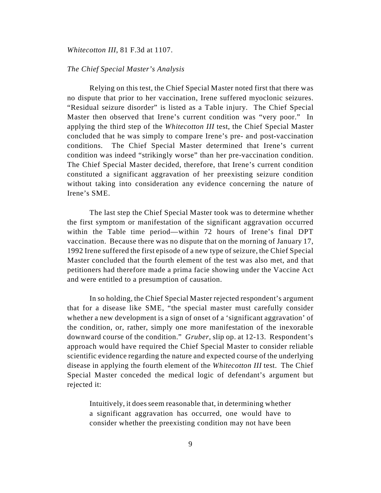#### *Whitecotton III*, 81 F.3d at 1107.

#### *The Chief Special Master's Analysis*

Relying on this test, the Chief Special Master noted first that there was no dispute that prior to her vaccination, Irene suffered myoclonic seizures. "Residual seizure disorder" is listed as a Table injury. The Chief Special Master then observed that Irene's current condition was "very poor." In applying the third step of the *Whitecotton III* test, the Chief Special Master concluded that he was simply to compare Irene's pre- and post-vaccination conditions. The Chief Special Master determined that Irene's current condition was indeed "strikingly worse" than her pre-vaccination condition. The Chief Special Master decided, therefore, that Irene's current condition constituted a significant aggravation of her preexisting seizure condition without taking into consideration any evidence concerning the nature of Irene's SME.

The last step the Chief Special Master took was to determine whether the first symptom or manifestation of the significant aggravation occurred within the Table time period—within 72 hours of Irene's final DPT vaccination. Because there was no dispute that on the morning of January 17, 1992 Irene suffered the first episode of a new type of seizure, the Chief Special Master concluded that the fourth element of the test was also met, and that petitioners had therefore made a prima facie showing under the Vaccine Act and were entitled to a presumption of causation.

In so holding, the Chief Special Master rejected respondent's argument that for a disease like SME, "the special master must carefully consider whether a new development is a sign of onset of a 'significant aggravation' of the condition, or, rather, simply one more manifestation of the inexorable downward course of the condition." *Gruber*, slip op. at 12-13. Respondent's approach would have required the Chief Special Master to consider reliable scientific evidence regarding the nature and expected course of the underlying disease in applying the fourth element of the *Whitecotton III* test. The Chief Special Master conceded the medical logic of defendant's argument but rejected it:

Intuitively, it does seem reasonable that, in determining whether a significant aggravation has occurred, one would have to consider whether the preexisting condition may not have been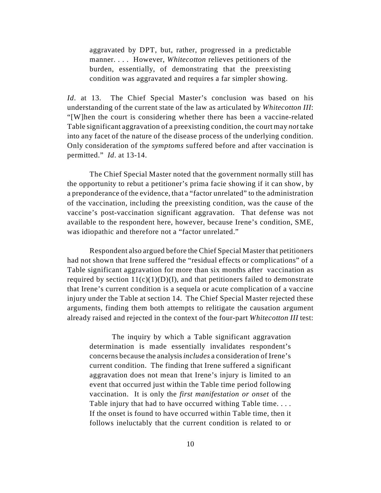aggravated by DPT, but, rather, progressed in a predictable manner. . . . However, *Whitecotton* relieves petitioners of the burden, essentially, of demonstrating that the preexisting condition was aggravated and requires a far simpler showing.

*Id*. at 13. The Chief Special Master's conclusion was based on his understanding of the current state of the law as articulated by *Whitecotton III*: "[W]hen the court is considering whether there has been a vaccine-related Table significant aggravation of a preexisting condition, the court may *not* take into any facet of the nature of the disease process of the underlying condition. Only consideration of the *symptoms* suffered before and after vaccination is permitted." *Id*. at 13-14.

The Chief Special Master noted that the government normally still has the opportunity to rebut a petitioner's prima facie showing if it can show, by a preponderance of the evidence, that a "factor unrelated" to the administration of the vaccination, including the preexisting condition, was the cause of the vaccine's post-vaccination significant aggravation. That defense was not available to the respondent here, however, because Irene's condition, SME, was idiopathic and therefore not a "factor unrelated."

Respondent also argued before the Chief Special Master that petitioners had not shown that Irene suffered the "residual effects or complications" of a Table significant aggravation for more than six months after vaccination as required by section  $11(c)(1)(D)(I)$ , and that petitioners failed to demonstrate that Irene's current condition is a sequela or acute complication of a vaccine injury under the Table at section 14. The Chief Special Master rejected these arguments, finding them both attempts to relitigate the causation argument already raised and rejected in the context of the four-part *Whitecotton III* test:

The inquiry by which a Table significant aggravation determination is made essentially invalidates respondent's concerns because the analysis *includes* a consideration of Irene's current condition. The finding that Irene suffered a significant aggravation does not mean that Irene's injury is limited to an event that occurred just within the Table time period following vaccination. It is only the *first manifestation or onset* of the Table injury that had to have occurred withing Table time. . . . If the onset is found to have occurred within Table time, then it follows ineluctably that the current condition is related to or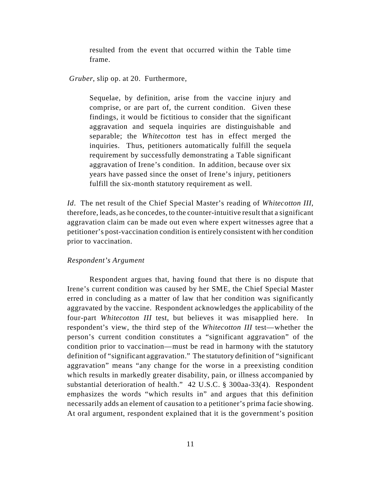resulted from the event that occurred within the Table time frame.

*Gruber*, slip op. at 20. Furthermore,

Sequelae, by definition, arise from the vaccine injury and comprise, or are part of, the current condition. Given these findings, it would be fictitious to consider that the significant aggravation and sequela inquiries are distinguishable and separable; the *Whitecotton* test has in effect merged the inquiries. Thus, petitioners automatically fulfill the sequela requirement by successfully demonstrating a Table significant aggravation of Irene's condition. In addition, because over six years have passed since the onset of Irene's injury, petitioners fulfill the six-month statutory requirement as well.

*Id*. The net result of the Chief Special Master's reading of *Whitecotton III*, therefore, leads, as he concedes, to the counter-intuitive result that a significant aggravation claim can be made out even where expert witnesses agree that a petitioner's post-vaccination condition is entirely consistent with her condition prior to vaccination.

#### *Respondent's Argument*

Respondent argues that, having found that there is no dispute that Irene's current condition was caused by her SME, the Chief Special Master erred in concluding as a matter of law that her condition was significantly aggravated by the vaccine. Respondent acknowledges the applicability of the four-part *Whitecotton III* test, but believes it was misapplied here. In respondent's view, the third step of the *Whitecotton III* test—whether the person's current condition constitutes a "significant aggravation" of the condition prior to vaccination—must be read in harmony with the statutory definition of "significant aggravation." The statutory definition of "significant aggravation" means "any change for the worse in a preexisting condition which results in markedly greater disability, pain, or illness accompanied by substantial deterioration of health." 42 U.S.C. § 300aa-33(4). Respondent emphasizes the words "which results in" and argues that this definition necessarily adds an element of causation to a petitioner's prima facie showing. At oral argument, respondent explained that it is the government's position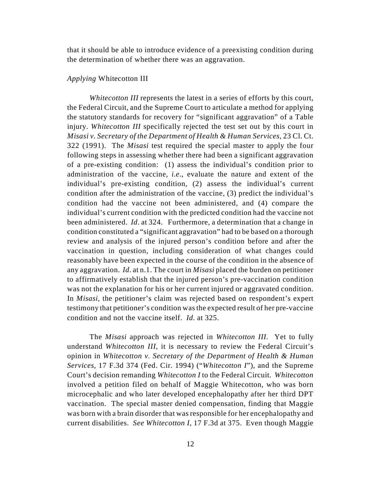that it should be able to introduce evidence of a preexisting condition during the determination of whether there was an aggravation.

#### *Applying* Whitecotton III

*Whitecotton III* represents the latest in a series of efforts by this court, the Federal Circuit, and the Supreme Court to articulate a method for applying the statutory standards for recovery for "significant aggravation" of a Table injury. *Whitecotton III* specifically rejected the test set out by this court in *Misasi v. Secretary of the Department of Health & Human Services*, 23 Cl. Ct. 322 (1991). The *Misasi* test required the special master to apply the four following steps in assessing whether there had been a significant aggravation of a pre-existing condition: (1) assess the individual's condition prior to administration of the vaccine, *i.e.*, evaluate the nature and extent of the individual's pre-existing condition, (2) assess the individual's current condition after the administration of the vaccine, (3) predict the individual's condition had the vaccine not been administered, and (4) compare the individual's current condition with the predicted condition had the vaccine not been administered. *Id*. at 324. Furthermore, a determination that a change in condition constituted a "significant aggravation" had to be based on a thorough review and analysis of the injured person's condition before and after the vaccination in question, including consideration of what changes could reasonably have been expected in the course of the condition in the absence of any aggravation. *Id*. at n.1. The court in *Misasi* placed the burden on petitioner to affirmatively establish that the injured person's pre-vaccination condition was not the explanation for his or her current injured or aggravated condition. In *Misasi*, the petitioner's claim was rejected based on respondent's expert testimony that petitioner's condition was the expected result of her pre-vaccine condition and not the vaccine itself. *Id*. at 325.

The *Misasi* approach was rejected in *Whitecotton III*. Yet to fully understand *Whitecotton III*, it is necessary to review the Federal Circuit's opinion in *Whitecotton v. Secretary of the Department of Health & Human Services*, 17 F.3d 374 (Fed. Cir. 1994) ("*Whitecotton I*"), and the Supreme Court's decision remanding *Whitecotton I* to the Federal Circuit. *Whitecotton* involved a petition filed on behalf of Maggie Whitecotton, who was born microcephalic and who later developed encephalopathy after her third DPT vaccination. The special master denied compensation, finding that Maggie was born with a brain disorder that was responsible for her encephalopathy and current disabilities. *See Whitecotton I*, 17 F.3d at 375. Even though Maggie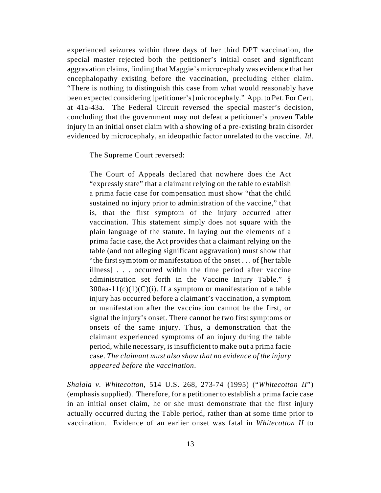experienced seizures within three days of her third DPT vaccination, the special master rejected both the petitioner's initial onset and significant aggravation claims, finding that Maggie's microcephaly was evidence that her encephalopathy existing before the vaccination, precluding either claim. "There is nothing to distinguish this case from what would reasonably have been expected considering [petitioner's] microcephaly." App. to Pet. For Cert. at 41a-43a. The Federal Circuit reversed the special master's decision, concluding that the government may not defeat a petitioner's proven Table injury in an initial onset claim with a showing of a pre-existing brain disorder evidenced by microcephaly, an ideopathic factor unrelated to the vaccine. *Id*.

The Supreme Court reversed:

The Court of Appeals declared that nowhere does the Act "expressly state" that a claimant relying on the table to establish a prima facie case for compensation must show "that the child sustained no injury prior to administration of the vaccine," that is, that the first symptom of the injury occurred after vaccination. This statement simply does not square with the plain language of the statute. In laying out the elements of a prima facie case, the Act provides that a claimant relying on the table (and not alleging significant aggravation) must show that "the first symptom or manifestation of the onset . . . of [her table illness] . . . occurred within the time period after vaccine administration set forth in the Vaccine Injury Table." §  $300$ aa-11(c)(1)(C)(i). If a symptom or manifestation of a table injury has occurred before a claimant's vaccination, a symptom or manifestation after the vaccination cannot be the first, or signal the injury's onset. There cannot be two first symptoms or onsets of the same injury. Thus, a demonstration that the claimant experienced symptoms of an injury during the table period, while necessary, is insufficient to make out a prima facie case. *The claimant must also show that no evidence of the injury appeared before the vaccination*.

*Shalala v. Whitecotton*, 514 U.S. 268, 273-74 (1995) ("*Whitecotton II*") (emphasis supplied). Therefore, for a petitioner to establish a prima facie case in an initial onset claim, he or she must demonstrate that the first injury actually occurred during the Table period, rather than at some time prior to vaccination. Evidence of an earlier onset was fatal in *Whitecotton II* to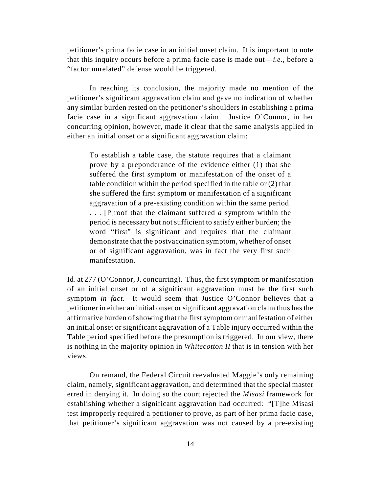petitioner's prima facie case in an initial onset claim. It is important to note that this inquiry occurs before a prima facie case is made out—*i.e.*, before a "factor unrelated" defense would be triggered.

In reaching its conclusion, the majority made no mention of the petitioner's significant aggravation claim and gave no indication of whether any similar burden rested on the petitioner's shoulders in establishing a prima facie case in a significant aggravation claim. Justice O'Connor, in her concurring opinion, however, made it clear that the same analysis applied in either an initial onset or a significant aggravation claim:

To establish a table case, the statute requires that a claimant prove by a preponderance of the evidence either (1) that she suffered the first symptom or manifestation of the onset of a table condition within the period specified in the table or (2) that she suffered the first symptom or manifestation of a significant aggravation of a pre-existing condition within the same period. . . . [P]roof that the claimant suffered *a* symptom within the period is necessary but not sufficient to satisfy either burden; the word "first" is significant and requires that the claimant demonstrate that the postvaccination symptom, whether of onset or of significant aggravation, was in fact the very first such manifestation.

Id. at 277 (O'Connor, J. concurring). Thus, the first symptom or manifestation of an initial onset or of a significant aggravation must be the first such symptom *in fact*. It would seem that Justice O'Connor believes that a petitioner in either an initial onset or significant aggravation claim thus has the affirmative burden of showing that the first symptom or manifestation of either an initial onset or significant aggravation of a Table injury occurred within the Table period specified before the presumption is triggered. In our view, there is nothing in the majority opinion in *Whitecotton II* that is in tension with her views.

On remand, the Federal Circuit reevaluated Maggie's only remaining claim, namely, significant aggravation, and determined that the special master erred in denying it. In doing so the court rejected the *Misasi* framework for establishing whether a significant aggravation had occurred: "[T]he Misasi test improperly required a petitioner to prove, as part of her prima facie case, that petitioner's significant aggravation was not caused by a pre-existing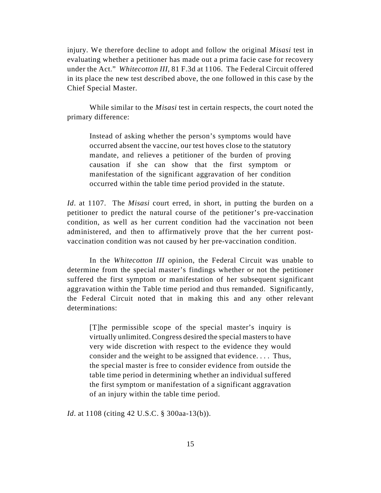injury. We therefore decline to adopt and follow the original *Misasi* test in evaluating whether a petitioner has made out a prima facie case for recovery under the Act." *Whitecotton III*, 81 F.3d at 1106. The Federal Circuit offered in its place the new test described above, the one followed in this case by the Chief Special Master.

While similar to the *Misasi* test in certain respects, the court noted the primary difference:

Instead of asking whether the person's symptoms would have occurred absent the vaccine, our test hoves close to the statutory mandate, and relieves a petitioner of the burden of proving causation if she can show that the first symptom or manifestation of the significant aggravation of her condition occurred within the table time period provided in the statute.

*Id*. at 1107. The *Misasi* court erred, in short, in putting the burden on a petitioner to predict the natural course of the petitioner's pre-vaccination condition, as well as her current condition had the vaccination not been administered, and then to affirmatively prove that the her current postvaccination condition was not caused by her pre-vaccination condition.

In the *Whitecotton III* opinion, the Federal Circuit was unable to determine from the special master's findings whether or not the petitioner suffered the first symptom or manifestation of her subsequent significant aggravation within the Table time period and thus remanded. Significantly, the Federal Circuit noted that in making this and any other relevant determinations:

[T]he permissible scope of the special master's inquiry is virtually unlimited. Congress desired the special masters to have very wide discretion with respect to the evidence they would consider and the weight to be assigned that evidence. . . . Thus, the special master is free to consider evidence from outside the table time period in determining whether an individual suffered the first symptom or manifestation of a significant aggravation of an injury within the table time period.

*Id*. at 1108 (citing 42 U.S.C. § 300aa-13(b)).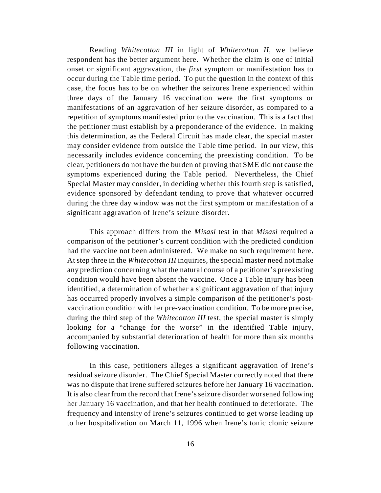Reading *Whitecotton III* in light of *Whitecotton II*, we believe respondent has the better argument here. Whether the claim is one of initial onset or significant aggravation, the *first* symptom or manifestation has to occur during the Table time period. To put the question in the context of this case, the focus has to be on whether the seizures Irene experienced within three days of the January 16 vaccination were the first symptoms or manifestations of an aggravation of her seizure disorder, as compared to a repetition of symptoms manifested prior to the vaccination. This is a fact that the petitioner must establish by a preponderance of the evidence. In making this determination, as the Federal Circuit has made clear, the special master may consider evidence from outside the Table time period. In our view, this necessarily includes evidence concerning the preexisting condition. To be clear, petitioners do not have the burden of proving that SME did not cause the symptoms experienced during the Table period. Nevertheless, the Chief Special Master may consider, in deciding whether this fourth step is satisfied, evidence sponsored by defendant tending to prove that whatever occurred during the three day window was not the first symptom or manifestation of a significant aggravation of Irene's seizure disorder.

This approach differs from the *Misasi* test in that *Misasi* required a comparison of the petitioner's current condition with the predicted condition had the vaccine not been administered. We make no such requirement here. At step three in the *Whitecotton III* inquiries, the special master need not make any prediction concerning what the natural course of a petitioner's preexisting condition would have been absent the vaccine. Once a Table injury has been identified, a determination of whether a significant aggravation of that injury has occurred properly involves a simple comparison of the petitioner's postvaccination condition with her pre-vaccination condition. To be more precise, during the third step of the *Whitecotton III* test, the special master is simply looking for a "change for the worse" in the identified Table injury, accompanied by substantial deterioration of health for more than six months following vaccination.

In this case, petitioners alleges a significant aggravation of Irene's residual seizure disorder. The Chief Special Master correctly noted that there was no dispute that Irene suffered seizures before her January 16 vaccination. It is also clear from the record that Irene's seizure disorder worsened following her January 16 vaccination, and that her health continued to deteriorate. The frequency and intensity of Irene's seizures continued to get worse leading up to her hospitalization on March 11, 1996 when Irene's tonic clonic seizure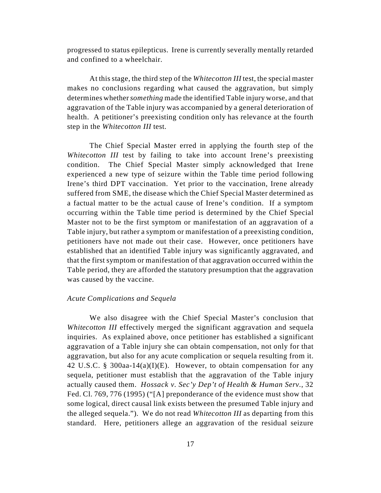progressed to status epilepticus. Irene is currently severally mentally retarded and confined to a wheelchair.

At this stage, the third step of the *Whitecotton III* test, the special master makes no conclusions regarding what caused the aggravation, but simply determines whether *something* made the identified Table injury worse, and that aggravation of the Table injury was accompanied by a general deterioration of health. A petitioner's preexisting condition only has relevance at the fourth step in the *Whitecotton III* test.

The Chief Special Master erred in applying the fourth step of the *Whitecotton III* test by failing to take into account Irene's preexisting condition. The Chief Special Master simply acknowledged that Irene experienced a new type of seizure within the Table time period following Irene's third DPT vaccination. Yet prior to the vaccination, Irene already suffered from SME, the disease which the Chief Special Master determined as a factual matter to be the actual cause of Irene's condition. If a symptom occurring within the Table time period is determined by the Chief Special Master not to be the first symptom or manifestation of an aggravation of a Table injury, but rather a symptom or manifestation of a preexisting condition, petitioners have not made out their case. However, once petitioners have established that an identified Table injury was significantly aggravated, and that the first symptom or manifestation of that aggravation occurred within the Table period, they are afforded the statutory presumption that the aggravation was caused by the vaccine.

#### *Acute Complications and Sequela*

We also disagree with the Chief Special Master's conclusion that *Whitecotton III* effectively merged the significant aggravation and sequela inquiries. As explained above, once petitioner has established a significant aggravation of a Table injury she can obtain compensation, not only for that aggravation, but also for any acute complication or sequela resulting from it. 42 U.S.C. § 300aa-14(a)(I)(E). However, to obtain compensation for any sequela, petitioner must establish that the aggravation of the Table injury actually caused them. *Hossack v. Sec'y Dep't of Health & Human Serv.*, 32 Fed. Cl. 769, 776 (1995) ("[A] preponderance of the evidence must show that some logical, direct causal link exists between the presumed Table injury and the alleged sequela."). We do not read *Whitecotton III* as departing from this standard. Here, petitioners allege an aggravation of the residual seizure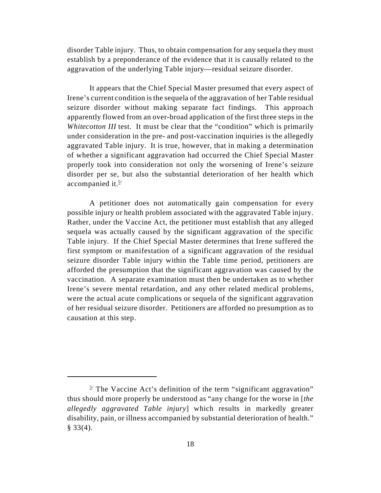disorder Table injury. Thus, to obtain compensation for any sequela they must establish by a preponderance of the evidence that it is causally related to the aggravation of the underlying Table injury—residual seizure disorder.

It appears that the Chief Special Master presumed that every aspect of Irene's current condition is the sequela of the aggravation of her Table residual seizure disorder without making separate fact findings. This approach apparently flowed from an over-broad application of the first three steps in the *Whitecotton III* test. It must be clear that the "condition" which is primarily under consideration in the pre- and post-vaccination inquiries is the allegedly aggravated Table injury. It is true, however, that in making a determination of whether a significant aggravation had occurred the Chief Special Master properly took into consideration not only the worsening of Irene's seizure disorder per se, but also the substantial deterioration of her health which accompanied it. $5/$ 

A petitioner does not automatically gain compensation for every possible injury or health problem associated with the aggravated Table injury. Rather, under the Vaccine Act, the petitioner must establish that any alleged sequela was actually caused by the significant aggravation of the specific Table injury. If the Chief Special Master determines that Irene suffered the first symptom or manifestation of a significant aggravation of the residual seizure disorder Table injury within the Table time period, petitioners are afforded the presumption that the significant aggravation was caused by the vaccination. A separate examination must then be undertaken as to whether Irene's severe mental retardation, and any other related medical problems, were the actual acute complications or sequela of the significant aggravation of her residual seizure disorder. Petitioners are afforded no presumption as to causation at this step.

 $\frac{5}{1}$  The Vaccine Act's definition of the term "significant aggravation" thus should more properly be understood as "any change for the worse in [*the allegedly aggravated Table injury*] which results in markedly greater disability, pain, or illness accompanied by substantial deterioration of health."  $§$  33(4).